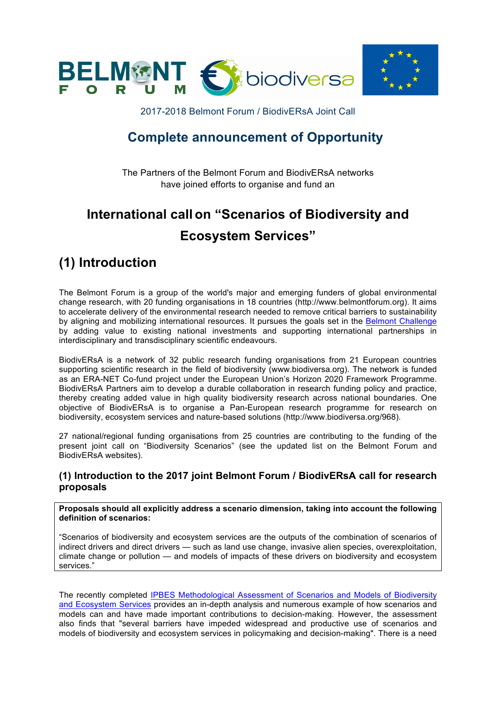



2017-2018 Belmont Forum / BiodivERsA Joint Call

# **Complete announcement of Opportunity**

The Partners of the Belmont Forum and BiodivERsA networks have joined efforts to organise and fund an

# **International call on "Scenarios of Biodiversity and Ecosystem Services"**

# **(1) Introduction**

The Belmont Forum is a group of the world's major and emerging funders of global environmental change research, with 20 funding organisations in 18 countries (http://www.belmontforum.org). It aims to accelerate delivery of the environmental research needed to remove critical barriers to sustainability by aligning and mobilizing international resources. It pursues the goals set in the Belmont Challenge by adding value to existing national investments and supporting international partnerships in interdisciplinary and transdisciplinary scientific endeavours.

BiodivERsA is a network of 32 public research funding organisations from 21 European countries supporting scientific research in the field of biodiversity (www.biodiversa.org). The network is funded as an ERA-NET Co-fund project under the European Union's Horizon 2020 Framework Programme. BiodivERsA Partners aim to develop a durable collaboration in research funding policy and practice, thereby creating added value in high quality biodiversity research across national boundaries. One objective of BiodivERsA is to organise a Pan-European research programme for research on biodiversity, ecosystem services and nature-based solutions (http://www.biodiversa.org/968).

27 national/regional funding organisations from 25 countries are contributing to the funding of the present joint call on "Biodiversity Scenarios" (see the updated list on the Belmont Forum and BiodivERsA websites).

### **(1) Introduction to the 2017 joint Belmont Forum / BiodivERsA call for research proposals**

**Proposals should all explicitly address a scenario dimension, taking into account the following definition of scenarios:** 

"Scenarios of biodiversity and ecosystem services are the outputs of the combination of scenarios of indirect drivers and direct drivers — such as land use change, invasive alien species, overexploitation, climate change or pollution — and models of impacts of these drivers on biodiversity and ecosystem services."

The recently completed IPBES Methodological Assessment of Scenarios and Models of Biodiversity and Ecosystem Services provides an in-depth analysis and numerous example of how scenarios and models can and have made important contributions to decision-making. However, the assessment also finds that "several barriers have impeded widespread and productive use of scenarios and models of biodiversity and ecosystem services in policymaking and decision-making". There is a need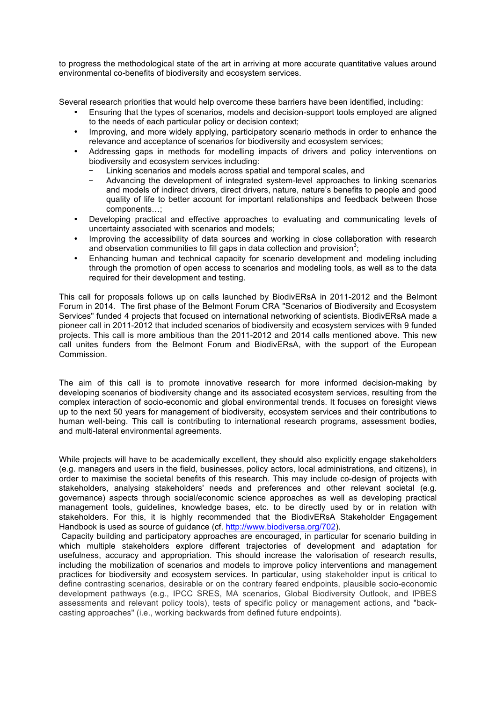to progress the methodological state of the art in arriving at more accurate quantitative values around environmental co-benefits of biodiversity and ecosystem services.

Several research priorities that would help overcome these barriers have been identified, including:

- Ensuring that the types of scenarios, models and decision-support tools employed are aligned to the needs of each particular policy or decision context;
- Improving, and more widely applying, participatory scenario methods in order to enhance the relevance and acceptance of scenarios for biodiversity and ecosystem services;
- Addressing gaps in methods for modelling impacts of drivers and policy interventions on biodiversity and ecosystem services including:
	- − Linking scenarios and models across spatial and temporal scales, and
	- − Advancing the development of integrated system-level approaches to linking scenarios and models of indirect drivers, direct drivers, nature, nature's benefits to people and good quality of life to better account for important relationships and feedback between those components…;
- Developing practical and effective approaches to evaluating and communicating levels of uncertainty associated with scenarios and models;
- Improving the accessibility of data sources and working in close collaboration with research and observation communities to fill gaps in data collection and provision<sup>3</sup>;
- Enhancing human and technical capacity for scenario development and modeling including through the promotion of open access to scenarios and modeling tools, as well as to the data required for their development and testing.

This call for proposals follows up on calls launched by BiodivERsA in 2011-2012 and the Belmont Forum in 2014. The first phase of the Belmont Forum CRA "Scenarios of Biodiversity and Ecosystem Services" funded 4 projects that focused on international networking of scientists. BiodivERsA made a pioneer call in 2011-2012 that included scenarios of biodiversity and ecosystem services with 9 funded projects. This call is more ambitious than the 2011-2012 and 2014 calls mentioned above. This new call unites funders from the Belmont Forum and BiodivERsA, with the support of the European Commission.

The aim of this call is to promote innovative research for more informed decision-making by developing scenarios of biodiversity change and its associated ecosystem services, resulting from the complex interaction of socio-economic and global environmental trends. It focuses on foresight views up to the next 50 years for management of biodiversity, ecosystem services and their contributions to human well-being. This call is contributing to international research programs, assessment bodies, and multi-lateral environmental agreements.

While projects will have to be academically excellent, they should also explicitly engage stakeholders (e.g. managers and users in the field, businesses, policy actors, local administrations, and citizens), in order to maximise the societal benefits of this research. This may include co-design of projects with stakeholders, analysing stakeholders' needs and preferences and other relevant societal (e.g. governance) aspects through social/economic science approaches as well as developing practical management tools, guidelines, knowledge bases, etc. to be directly used by or in relation with stakeholders. For this, it is highly recommended that the BiodivERsA Stakeholder Engagement Handbook is used as source of guidance (cf. http://www.biodiversa.org/702).

Capacity building and participatory approaches are encouraged, in particular for scenario building in which multiple stakeholders explore different trajectories of development and adaptation for usefulness, accuracy and appropriation. This should increase the valorisation of research results, including the mobilization of scenarios and models to improve policy interventions and management practices for biodiversity and ecosystem services. In particular, using stakeholder input is critical to define contrasting scenarios, desirable or on the contrary feared endpoints, plausible socio-economic development pathways (e.g., IPCC SRES, MA scenarios, Global Biodiversity Outlook, and IPBES assessments and relevant policy tools), tests of specific policy or management actions, and "backcasting approaches" (i.e., working backwards from defined future endpoints).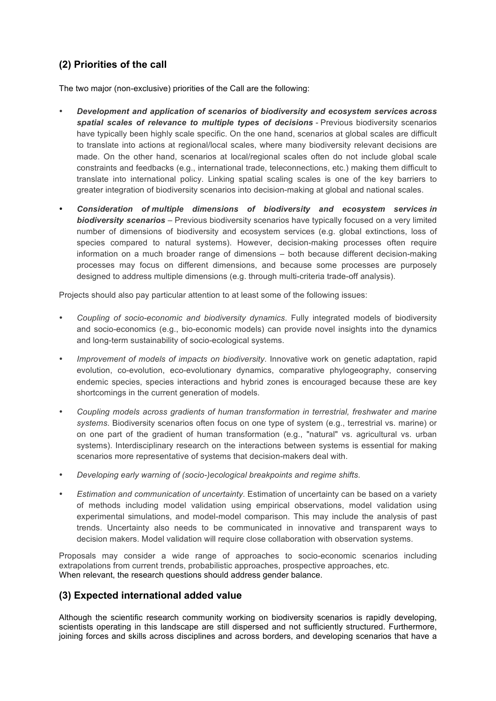# **(2) Priorities of the call**

The two major (non-exclusive) priorities of the Call are the following:

- *Development and application of scenarios of biodiversity and ecosystem services across spatial scales of relevance to multiple types of decisions -* Previous biodiversity scenarios have typically been highly scale specific. On the one hand, scenarios at global scales are difficult to translate into actions at regional/local scales, where many biodiversity relevant decisions are made. On the other hand, scenarios at local/regional scales often do not include global scale constraints and feedbacks (e.g., international trade, teleconnections, etc.) making them difficult to translate into international policy. Linking spatial scaling scales is one of the key barriers to greater integration of biodiversity scenarios into decision-making at global and national scales.
- *Consideration of multiple dimensions of biodiversity and ecosystem services in biodiversity scenarios –* Previous biodiversity scenarios have typically focused on a very limited number of dimensions of biodiversity and ecosystem services (e.g. global extinctions, loss of species compared to natural systems). However, decision-making processes often require information on a much broader range of dimensions – both because different decision-making processes may focus on different dimensions, and because some processes are purposely designed to address multiple dimensions (e.g. through multi-criteria trade-off analysis).

Projects should also pay particular attention to at least some of the following issues:

- *Coupling of socio-economic and biodiversity dynamics*. Fully integrated models of biodiversity and socio-economics (e.g., bio-economic models) can provide novel insights into the dynamics and long-term sustainability of socio-ecological systems.
- *Improvement of models of impacts on biodiversity*. Innovative work on genetic adaptation, rapid evolution, co-evolution, eco-evolutionary dynamics, comparative phylogeography, conserving endemic species, species interactions and hybrid zones is encouraged because these are key shortcomings in the current generation of models.
- *Coupling models across gradients of human transformation in terrestrial, freshwater and marine systems*. Biodiversity scenarios often focus on one type of system (e.g., terrestrial vs. marine) or on one part of the gradient of human transformation (e.g., "natural" vs. agricultural vs. urban systems). Interdisciplinary research on the interactions between systems is essential for making scenarios more representative of systems that decision-makers deal with.
- *Developing early warning of (socio-)ecological breakpoints and regime shifts*.
- *Estimation and communication of uncertainty*. Estimation of uncertainty can be based on a variety of methods including model validation using empirical observations, model validation using experimental simulations, and model-model comparison. This may include the analysis of past trends. Uncertainty also needs to be communicated in innovative and transparent ways to decision makers. Model validation will require close collaboration with observation systems.

Proposals may consider a wide range of approaches to socio-economic scenarios including extrapolations from current trends, probabilistic approaches, prospective approaches, etc. When relevant, the research questions should address gender balance.

# **(3) Expected international added value**

Although the scientific research community working on biodiversity scenarios is rapidly developing, scientists operating in this landscape are still dispersed and not sufficiently structured. Furthermore, joining forces and skills across disciplines and across borders, and developing scenarios that have a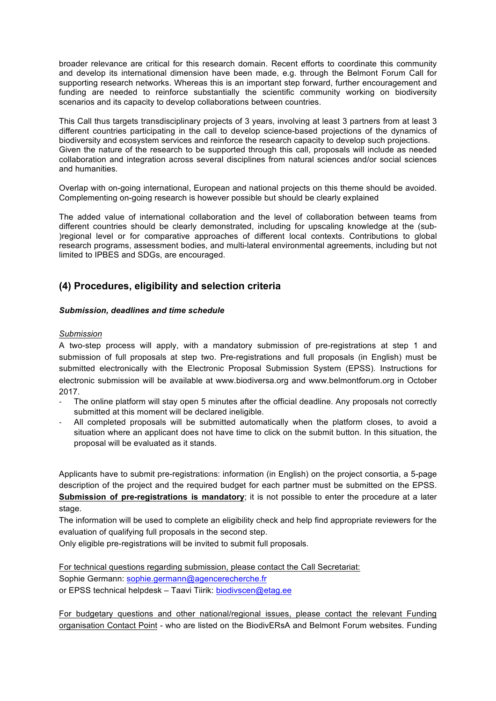broader relevance are critical for this research domain. Recent efforts to coordinate this community and develop its international dimension have been made, e.g. through the Belmont Forum Call for supporting research networks. Whereas this is an important step forward, further encouragement and funding are needed to reinforce substantially the scientific community working on biodiversity scenarios and its capacity to develop collaborations between countries.

This Call thus targets transdisciplinary projects of 3 years, involving at least 3 partners from at least 3 different countries participating in the call to develop science-based projections of the dynamics of biodiversity and ecosystem services and reinforce the research capacity to develop such projections. Given the nature of the research to be supported through this call, proposals will include as needed collaboration and integration across several disciplines from natural sciences and/or social sciences and humanities.

Overlap with on-going international, European and national projects on this theme should be avoided. Complementing on-going research is however possible but should be clearly explained

The added value of international collaboration and the level of collaboration between teams from different countries should be clearly demonstrated, including for upscaling knowledge at the (sub- )regional level or for comparative approaches of different local contexts. Contributions to global research programs, assessment bodies, and multi-lateral environmental agreements, including but not limited to IPBES and SDGs, are encouraged.

## **(4) Procedures, eligibility and selection criteria**

#### *Submission, deadlines and time schedule*

#### *Submission*

A two-step process will apply, with a mandatory submission of pre-registrations at step 1 and submission of full proposals at step two. Pre-registrations and full proposals (in English) must be submitted electronically with the Electronic Proposal Submission System (EPSS). Instructions for electronic submission will be available at www.biodiversa.org and www.belmontforum.org in October 2017.

- The online platform will stay open 5 minutes after the official deadline. Any proposals not correctly submitted at this moment will be declared ineligible.
- All completed proposals will be submitted automatically when the platform closes, to avoid a situation where an applicant does not have time to click on the submit button. In this situation, the proposal will be evaluated as it stands.

Applicants have to submit pre-registrations: information (in English) on the project consortia, a 5-page description of the project and the required budget for each partner must be submitted on the EPSS. **Submission of pre-registrations is mandatory**; it is not possible to enter the procedure at a later stage.

The information will be used to complete an eligibility check and help find appropriate reviewers for the evaluation of qualifying full proposals in the second step.

Only eligible pre-registrations will be invited to submit full proposals.

For technical questions regarding submission, please contact the Call Secretariat: Sophie Germann: sophie.germann@agencerecherche.fr or EPSS technical helpdesk – Taavi Tiirik: biodivscen@etag.ee

For budgetary questions and other national/regional issues, please contact the relevant Funding organisation Contact Point - who are listed on the BiodivERsA and Belmont Forum websites. Funding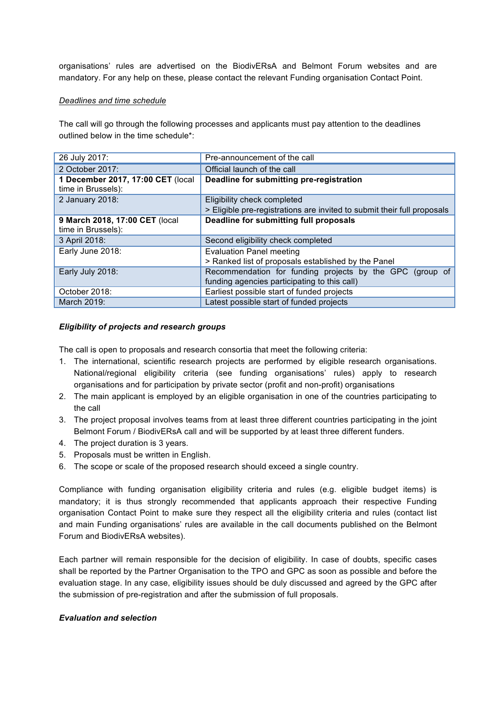organisations' rules are advertised on the BiodivERsA and Belmont Forum websites and are mandatory. For any help on these, please contact the relevant Funding organisation Contact Point.

#### *Deadlines and time schedule*

The call will go through the following processes and applicants must pay attention to the deadlines outlined below in the time schedule\*:

| 26 July 2017:                     | Pre-announcement of the call                                            |  |
|-----------------------------------|-------------------------------------------------------------------------|--|
| 2 October 2017:                   | Official launch of the call                                             |  |
| 1 December 2017, 17:00 CET (local | Deadline for submitting pre-registration                                |  |
| time in Brussels):                |                                                                         |  |
| 2 January 2018:                   | Eligibility check completed                                             |  |
|                                   | > Eligible pre-registrations are invited to submit their full proposals |  |
| 9 March 2018, 17:00 CET (local    | Deadline for submitting full proposals                                  |  |
| time in Brussels):                |                                                                         |  |
| 3 April 2018:                     | Second eligibility check completed                                      |  |
| Early June 2018:                  | <b>Evaluation Panel meeting</b>                                         |  |
|                                   | > Ranked list of proposals established by the Panel                     |  |
| Early July 2018:                  | Recommendation for funding projects by the GPC (group of                |  |
|                                   | funding agencies participating to this call)                            |  |
| October 2018:                     | Earliest possible start of funded projects                              |  |
| March 2019:                       | Latest possible start of funded projects                                |  |

#### *Eligibility of projects and research groups*

The call is open to proposals and research consortia that meet the following criteria:

- 1. The international, scientific research projects are performed by eligible research organisations. National/regional eligibility criteria (see funding organisations' rules) apply to research organisations and for participation by private sector (profit and non-profit) organisations
- 2. The main applicant is employed by an eligible organisation in one of the countries participating to the call
- 3. The project proposal involves teams from at least three different countries participating in the joint Belmont Forum / BiodivERsA call and will be supported by at least three different funders.
- 4. The project duration is 3 years.
- 5. Proposals must be written in English.
- 6. The scope or scale of the proposed research should exceed a single country.

Compliance with funding organisation eligibility criteria and rules (e.g. eligible budget items) is mandatory; it is thus strongly recommended that applicants approach their respective Funding organisation Contact Point to make sure they respect all the eligibility criteria and rules (contact list and main Funding organisations' rules are available in the call documents published on the Belmont Forum and BiodivERsA websites).

Each partner will remain responsible for the decision of eligibility. In case of doubts, specific cases shall be reported by the Partner Organisation to the TPO and GPC as soon as possible and before the evaluation stage. In any case, eligibility issues should be duly discussed and agreed by the GPC after the submission of pre-registration and after the submission of full proposals.

#### *Evaluation and selection*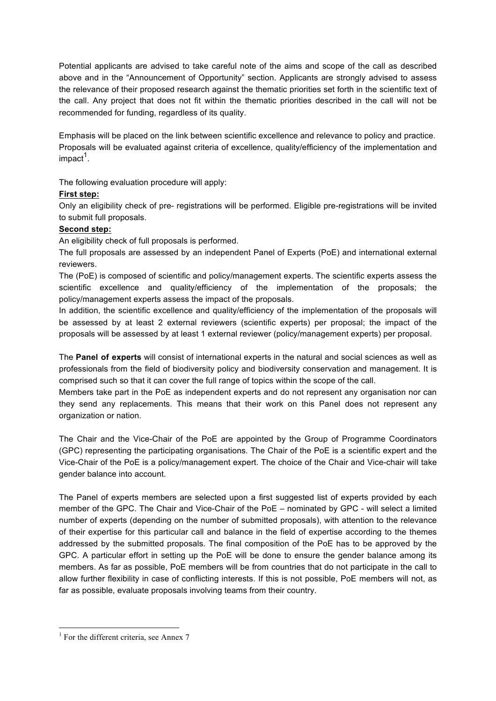Potential applicants are advised to take careful note of the aims and scope of the call as described above and in the "Announcement of Opportunity" section. Applicants are strongly advised to assess the relevance of their proposed research against the thematic priorities set forth in the scientific text of the call. Any project that does not fit within the thematic priorities described in the call will not be recommended for funding, regardless of its quality.

Emphasis will be placed on the link between scientific excellence and relevance to policy and practice. Proposals will be evaluated against criteria of excellence, quality/efficiency of the implementation and  $im$ pact<sup>1</sup>.

The following evaluation procedure will apply:

#### **First step:**

Only an eligibility check of pre- registrations will be performed. Eligible pre-registrations will be invited to submit full proposals.

#### **Second step:**

An eligibility check of full proposals is performed.

The full proposals are assessed by an independent Panel of Experts (PoE) and international external reviewers.

The (PoE) is composed of scientific and policy/management experts. The scientific experts assess the scientific excellence and quality/efficiency of the implementation of the proposals; the policy/management experts assess the impact of the proposals.

In addition, the scientific excellence and quality/efficiency of the implementation of the proposals will be assessed by at least 2 external reviewers (scientific experts) per proposal; the impact of the proposals will be assessed by at least 1 external reviewer (policy/management experts) per proposal.

The **Panel of experts** will consist of international experts in the natural and social sciences as well as professionals from the field of biodiversity policy and biodiversity conservation and management. It is comprised such so that it can cover the full range of topics within the scope of the call.

Members take part in the PoE as independent experts and do not represent any organisation nor can they send any replacements. This means that their work on this Panel does not represent any organization or nation.

The Chair and the Vice-Chair of the PoE are appointed by the Group of Programme Coordinators (GPC) representing the participating organisations. The Chair of the PoE is a scientific expert and the Vice-Chair of the PoE is a policy/management expert. The choice of the Chair and Vice-chair will take gender balance into account.

The Panel of experts members are selected upon a first suggested list of experts provided by each member of the GPC. The Chair and Vice-Chair of the PoE – nominated by GPC - will select a limited number of experts (depending on the number of submitted proposals), with attention to the relevance of their expertise for this particular call and balance in the field of expertise according to the themes addressed by the submitted proposals. The final composition of the PoE has to be approved by the GPC. A particular effort in setting up the PoE will be done to ensure the gender balance among its members. As far as possible, PoE members will be from countries that do not participate in the call to allow further flexibility in case of conflicting interests. If this is not possible, PoE members will not, as far as possible, evaluate proposals involving teams from their country.

 $<sup>1</sup>$  For the different criteria, see Annex 7</sup>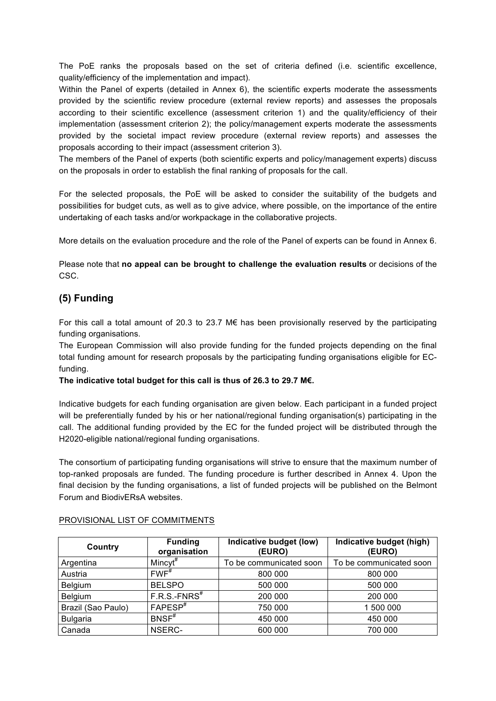The PoE ranks the proposals based on the set of criteria defined (i.e. scientific excellence, quality/efficiency of the implementation and impact).

Within the Panel of experts (detailed in Annex 6), the scientific experts moderate the assessments provided by the scientific review procedure (external review reports) and assesses the proposals according to their scientific excellence (assessment criterion 1) and the quality/efficiency of their implementation (assessment criterion 2); the policy/management experts moderate the assessments provided by the societal impact review procedure (external review reports) and assesses the proposals according to their impact (assessment criterion 3).

The members of the Panel of experts (both scientific experts and policy/management experts) discuss on the proposals in order to establish the final ranking of proposals for the call.

For the selected proposals, the PoE will be asked to consider the suitability of the budgets and possibilities for budget cuts, as well as to give advice, where possible, on the importance of the entire undertaking of each tasks and/or workpackage in the collaborative projects.

More details on the evaluation procedure and the role of the Panel of experts can be found in Annex 6.

Please note that **no appeal can be brought to challenge the evaluation results** or decisions of the CSC.

# **(5) Funding**

For this call a total amount of 20.3 to 23.7 M $\epsilon$  has been provisionally reserved by the participating funding organisations.

The European Commission will also provide funding for the funded projects depending on the final total funding amount for research proposals by the participating funding organisations eligible for ECfunding.

#### **The indicative total budget for this call is thus of 26.3 to 29.7 M€.**

Indicative budgets for each funding organisation are given below. Each participant in a funded project will be preferentially funded by his or her national/regional funding organisation(s) participating in the call. The additional funding provided by the EC for the funded project will be distributed through the H2020-eligible national/regional funding organisations.

The consortium of participating funding organisations will strive to ensure that the maximum number of top-ranked proposals are funded. The funding procedure is further described in Annex 4. Upon the final decision by the funding organisations, a list of funded projects will be published on the Belmont Forum and BiodivERsA websites.

| Country            | <b>Funding</b><br>organisation | Indicative budget (low)<br>(EURO) | Indicative budget (high)<br>(EURO) |
|--------------------|--------------------------------|-----------------------------------|------------------------------------|
| Argentina          | Mincyt <sup>#</sup>            | To be communicated soon           | To be communicated soon            |
| Austria            | FWF                            | 800 000                           | 800 000                            |
| Belgium            | <b>BELSPO</b>                  | 500 000                           | 500 000                            |
| Belgium            | $F.R.S.-FNRS^*$                | 200 000                           | 200 000                            |
| Brazil (Sao Paulo) | $FAPESP$ <sup>#</sup>          | 750 000                           | 1 500 000                          |
| <b>Bulgaria</b>    | $BNSF^*$                       | 450 000                           | 450 000                            |
| Canada             | NSERC-                         | 600 000                           | 700 000                            |

#### PROVISIONAL LIST OF COMMITMENTS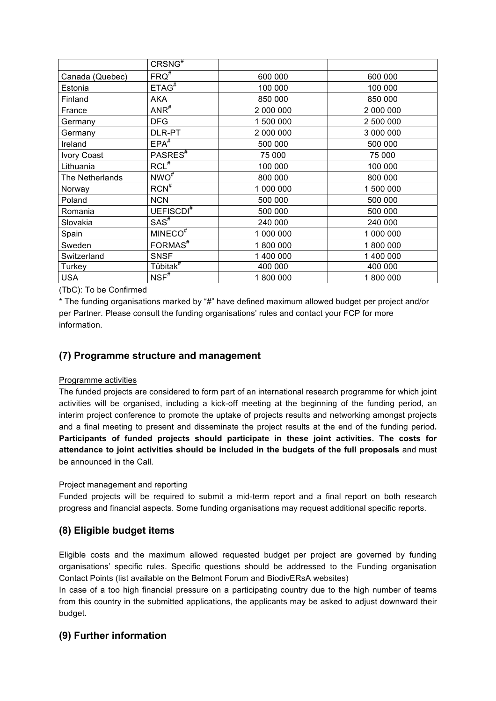|                 | CRSNG <sup>#</sup>    |           |           |
|-----------------|-----------------------|-----------|-----------|
| Canada (Quebec) | $FRQ^*$               | 600 000   | 600 000   |
| Estonia         | ETAG <sup>#</sup>     | 100 000   | 100 000   |
| Finland         | <b>AKA</b>            | 850 000   | 850 000   |
| France          | $ANR$ <sup>#</sup>    | 2 000 000 | 2 000 000 |
| Germany         | <b>DFG</b>            | 1 500 000 | 2 500 000 |
| Germany         | DLR-PT                | 2 000 000 | 3 000 000 |
| Ireland         | $EPA$ <sup>#</sup>    | 500 000   | 500 000   |
| Ivory Coast     | PASRES <sup>#</sup>   | 75 000    | 75 000    |
| Lithuania       | $RCL$ <sup>#</sup>    | 100 000   | 100 000   |
| The Netherlands | $NWO$ <sup>#</sup>    | 800 000   | 800 000   |
| Norway          | $RCN^{\overline{*}}$  | 1 000 000 | 1 500 000 |
| Poland          | <b>NCN</b>            | 500 000   | 500 000   |
| Romania         | UEFISCDI <sup>#</sup> | 500 000   | 500 000   |
| Slovakia        | $SAS^*$               | 240 000   | 240 000   |
| Spain           | MINECO <sup>#</sup>   | 1 000 000 | 1 000 000 |
| Sweden          | FORMAS <sup>#</sup>   | 1800000   | 1800000   |
| Switzerland     | <b>SNSF</b>           | 1 400 000 | 1 400 000 |
| Turkey          | Tübitak <sup>#</sup>  | 400 000   | 400 000   |
| <b>USA</b>      | $NSF^*$               | 1800000   | 1800000   |

(TbC): To be Confirmed

\* The funding organisations marked by "#" have defined maximum allowed budget per project and/or per Partner. Please consult the funding organisations' rules and contact your FCP for more information.

## **(7) Programme structure and management**

#### Programme activities

The funded projects are considered to form part of an international research programme for which joint activities will be organised, including a kick-off meeting at the beginning of the funding period, an interim project conference to promote the uptake of projects results and networking amongst projects and a final meeting to present and disseminate the project results at the end of the funding period**. Participants of funded projects should participate in these joint activities. The costs for attendance to joint activities should be included in the budgets of the full proposals** and must be announced in the Call.

#### Project management and reporting

Funded projects will be required to submit a mid-term report and a final report on both research progress and financial aspects. Some funding organisations may request additional specific reports.

## **(8) Eligible budget items**

Eligible costs and the maximum allowed requested budget per project are governed by funding organisations' specific rules. Specific questions should be addressed to the Funding organisation Contact Points (list available on the Belmont Forum and BiodivERsA websites)

In case of a too high financial pressure on a participating country due to the high number of teams from this country in the submitted applications, the applicants may be asked to adjust downward their budget.

## **(9) Further information**